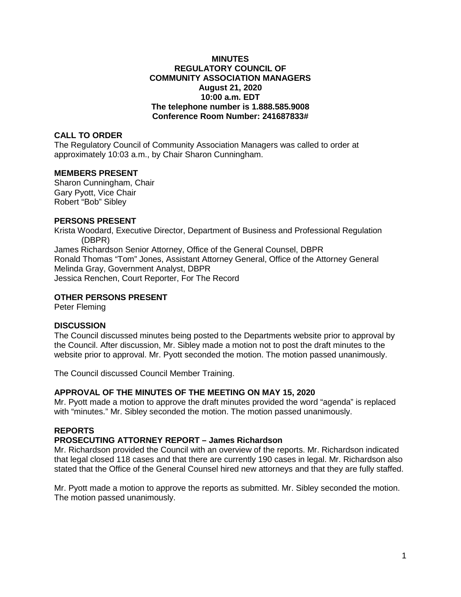### **MINUTES REGULATORY COUNCIL OF COMMUNITY ASSOCIATION MANAGERS August 21, 2020 10:00 a.m. EDT The telephone number is 1.888.585.9008 Conference Room Number: 241687833#**

### **CALL TO ORDER**

The Regulatory Council of Community Association Managers was called to order at approximately 10:03 a.m., by Chair Sharon Cunningham.

#### **MEMBERS PRESENT**

Sharon Cunningham, Chair Gary Pyott, Vice Chair Robert "Bob" Sibley

### **PERSONS PRESENT**

Krista Woodard, Executive Director, Department of Business and Professional Regulation (DBPR) James Richardson Senior Attorney, Office of the General Counsel, DBPR Ronald Thomas "Tom" Jones, Assistant Attorney General, Office of the Attorney General Melinda Gray, Government Analyst, DBPR Jessica Renchen, Court Reporter, For The Record

### **OTHER PERSONS PRESENT**

Peter Fleming

#### **DISCUSSION**

The Council discussed minutes being posted to the Departments website prior to approval by the Council. After discussion, Mr. Sibley made a motion not to post the draft minutes to the website prior to approval. Mr. Pyott seconded the motion. The motion passed unanimously.

The Council discussed Council Member Training.

#### **APPROVAL OF THE MINUTES OF THE MEETING ON MAY 15, 2020**

Mr. Pyott made a motion to approve the draft minutes provided the word "agenda" is replaced with "minutes." Mr. Sibley seconded the motion. The motion passed unanimously.

#### **REPORTS**

# **PROSECUTING ATTORNEY REPORT – James Richardson**

Mr. Richardson provided the Council with an overview of the reports. Mr. Richardson indicated that legal closed 118 cases and that there are currently 190 cases in legal. Mr. Richardson also stated that the Office of the General Counsel hired new attorneys and that they are fully staffed.

Mr. Pyott made a motion to approve the reports as submitted. Mr. Sibley seconded the motion. The motion passed unanimously.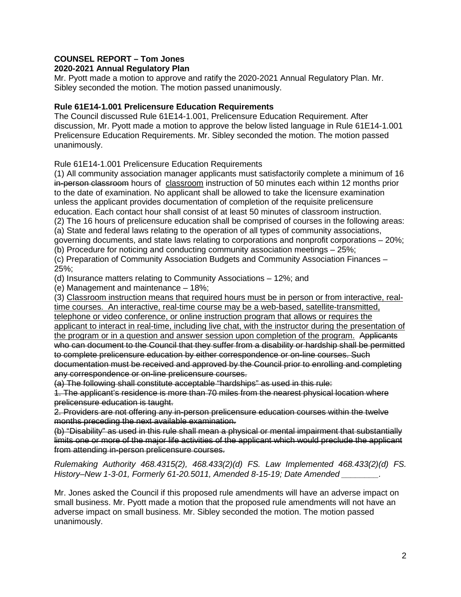# **COUNSEL REPORT – Tom Jones**

# **2020-2021 Annual Regulatory Plan**

Mr. Pyott made a motion to approve and ratify the 2020-2021 Annual Regulatory Plan. Mr. Sibley seconded the motion. The motion passed unanimously.

### **Rule 61E14-1.001 Prelicensure Education Requirements**

The Council discussed Rule 61E14-1.001, Prelicensure Education Requirement. After discussion, Mr. Pyott made a motion to approve the below listed language in Rule 61E14-1.001 Prelicensure Education Requirements. Mr. Sibley seconded the motion. The motion passed unanimously.

Rule 61E14-1.001 Prelicensure Education Requirements

(1) All community association manager applicants must satisfactorily complete a minimum of 16 in-person classroom hours of classroom instruction of 50 minutes each within 12 months prior to the date of examination. No applicant shall be allowed to take the licensure examination unless the applicant provides documentation of completion of the requisite prelicensure education. Each contact hour shall consist of at least 50 minutes of classroom instruction. (2) The 16 hours of prelicensure education shall be comprised of courses in the following areas:

(a) State and federal laws relating to the operation of all types of community associations,

governing documents, and state laws relating to corporations and nonprofit corporations – 20%; (b) Procedure for noticing and conducting community association meetings – 25%;

(c) Preparation of Community Association Budgets and Community Association Finances – 25%;

(d) Insurance matters relating to Community Associations – 12%; and

(e) Management and maintenance – 18%;

(3) Classroom instruction means that required hours must be in person or from interactive, realtime courses. An interactive, real-time course may be a web-based, satellite-transmitted, telephone or video conference, or online instruction program that allows or requires the applicant to interact in real-time, including live chat, with the instructor during the presentation of the program or in a question and answer session upon completion of the program. Applicants who can document to the Council that they suffer from a disability or hardship shall be permitted to complete prelicensure education by either correspondence or on-line courses. Such documentation must be received and approved by the Council prior to enrolling and completing any correspondence or on-line prelicensure courses.

(a) The following shall constitute acceptable "hardships" as used in this rule:

1. The applicant's residence is more than 70 miles from the nearest physical location where prelicensure education is taught.

2. Providers are not offering any in-person prelicensure education courses within the twelve months preceding the next available examination.

(b) "Disability" as used in this rule shall mean a physical or mental impairment that substantially limits one or more of the major life activities of the applicant which would preclude the applicant from attending in-person prelicensure courses.

*Rulemaking Authority 468.4315(2), 468.433(2)(d) FS. Law Implemented 468.433(2)(d) FS. History–New 1-3-01, Formerly 61-20.5011, Amended 8-15-19; Date Amended \_\_\_\_\_\_\_\_.*

Mr. Jones asked the Council if this proposed rule amendments will have an adverse impact on small business. Mr. Pyott made a motion that the proposed rule amendments will not have an adverse impact on small business. Mr. Sibley seconded the motion. The motion passed unanimously.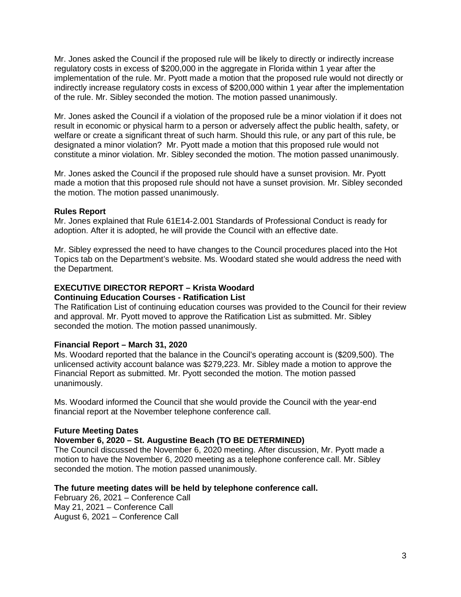Mr. Jones asked the Council if the proposed rule will be likely to directly or indirectly increase regulatory costs in excess of \$200,000 in the aggregate in Florida within 1 year after the implementation of the rule. Mr. Pyott made a motion that the proposed rule would not directly or indirectly increase regulatory costs in excess of \$200,000 within 1 year after the implementation of the rule. Mr. Sibley seconded the motion. The motion passed unanimously.

Mr. Jones asked the Council if a violation of the proposed rule be a minor violation if it does not result in economic or physical harm to a person or adversely affect the public health, safety, or welfare or create a significant threat of such harm. Should this rule, or any part of this rule, be designated a minor violation? Mr. Pyott made a motion that this proposed rule would not constitute a minor violation. Mr. Sibley seconded the motion. The motion passed unanimously.

Mr. Jones asked the Council if the proposed rule should have a sunset provision. Mr. Pyott made a motion that this proposed rule should not have a sunset provision. Mr. Sibley seconded the motion. The motion passed unanimously.

#### **Rules Report**

Mr. Jones explained that Rule 61E14-2.001 Standards of Professional Conduct is ready for adoption. After it is adopted, he will provide the Council with an effective date.

Mr. Sibley expressed the need to have changes to the Council procedures placed into the Hot Topics tab on the Department's website. Ms. Woodard stated she would address the need with the Department.

#### **EXECUTIVE DIRECTOR REPORT – Krista Woodard Continuing Education Courses - Ratification List**

The Ratification List of continuing education courses was provided to the Council for their review and approval. Mr. Pyott moved to approve the Ratification List as submitted. Mr. Sibley seconded the motion. The motion passed unanimously.

# **Financial Report – March 31, 2020**

Ms. Woodard reported that the balance in the Council's operating account is (\$209,500). The unlicensed activity account balance was \$279,223. Mr. Sibley made a motion to approve the Financial Report as submitted. Mr. Pyott seconded the motion. The motion passed unanimously.

Ms. Woodard informed the Council that she would provide the Council with the year-end financial report at the November telephone conference call.

#### **Future Meeting Dates**

# **November 6, 2020 – St. Augustine Beach (TO BE DETERMINED)**

The Council discussed the November 6, 2020 meeting. After discussion, Mr. Pyott made a motion to have the November 6, 2020 meeting as a telephone conference call. Mr. Sibley seconded the motion. The motion passed unanimously.

#### **The future meeting dates will be held by telephone conference call.**

February 26, 2021 – Conference Call May 21, 2021 – Conference Call August 6, 2021 – Conference Call